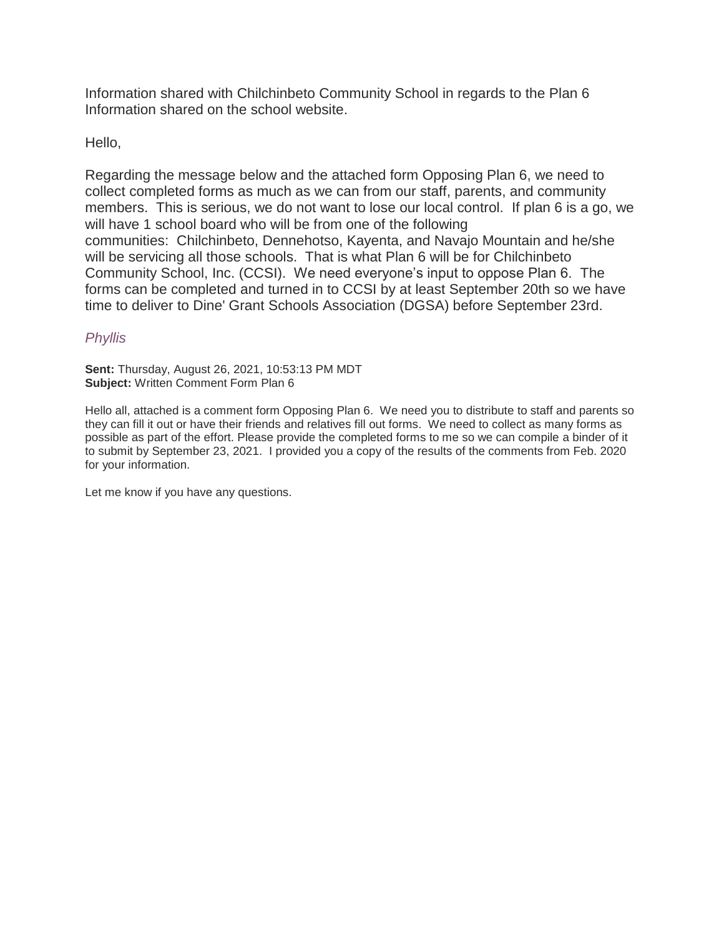Information shared with Chilchinbeto Community School in regards to the Plan 6 Information shared on the school website.

Hello,

Regarding the message below and the attached form Opposing Plan 6, we need to collect completed forms as much as we can from our staff, parents, and community members. This is serious, we do not want to lose our local control. If plan 6 is a go, we will have 1 school board who will be from one of the following communities: Chilchinbeto, Dennehotso, Kayenta, and Navajo Mountain and he/she will be servicing all those schools. That is what Plan 6 will be for Chilchinbeto Community School, Inc. (CCSI). We need everyone's input to oppose Plan 6. The forms can be completed and turned in to CCSI by at least September 20th so we have time to deliver to Dine' Grant Schools Association (DGSA) before September 23rd.

## *Phyllis*

**Sent:** Thursday, August 26, 2021, 10:53:13 PM MDT **Subject:** Written Comment Form Plan 6

Hello all, attached is a comment form Opposing Plan 6. We need you to distribute to staff and parents so they can fill it out or have their friends and relatives fill out forms. We need to collect as many forms as possible as part of the effort. Please provide the completed forms to me so we can compile a binder of it to submit by September 23, 2021. I provided you a copy of the results of the comments from Feb. 2020 for your information.

Let me know if you have any questions.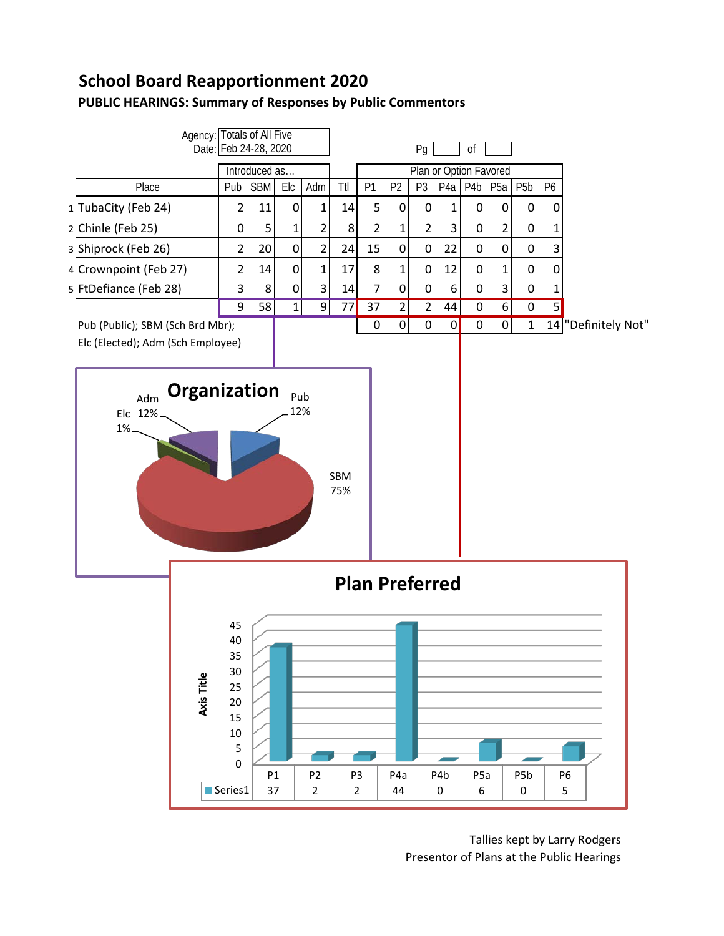## **School Board Reapportionment 2020**

## **PUBLIC HEARINGS: Summary of Responses by Public Commentors**



Tallies kept by Larry Rodgers Presentor of Plans at the Public Hearings